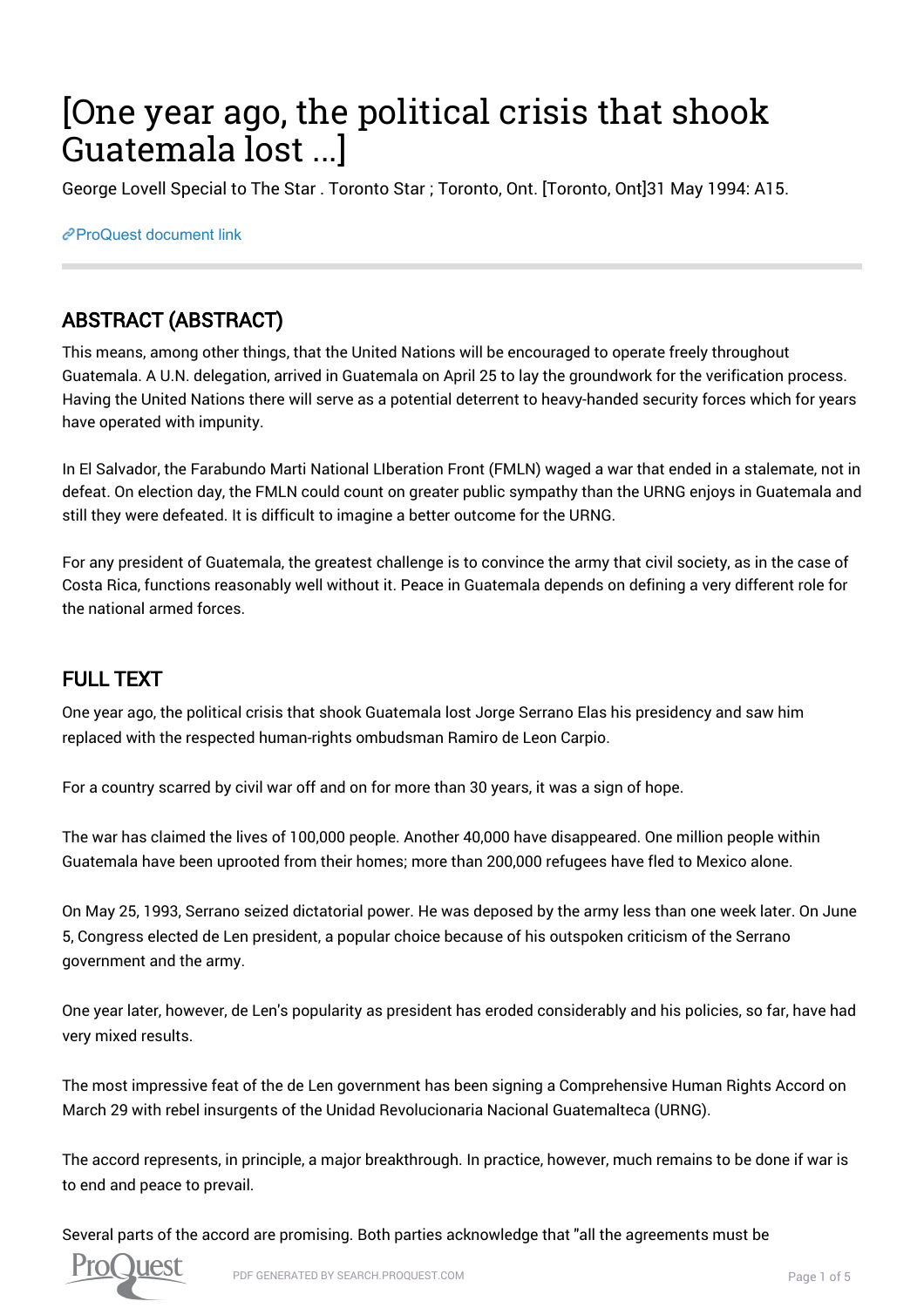# [One year ago, the political crisis that shook Guatemala lost ...]

George Lovell Special to The Star . Toronto Star ; Toronto, Ont. [Toronto, Ont]31 May 1994: A15.

[ProQuest document link](https://proxy.queensu.ca/login?url=https://search.proquest.com/docview/437015946?accountid=6180)

## ABSTRACT (ABSTRACT)

This means, among other things, that the United Nations will be encouraged to operate freely throughout Guatemala. A U.N. delegation, arrived in Guatemala on April 25 to lay the groundwork for the verification process. Having the United Nations there will serve as a potential deterrent to heavy-handed security forces which for years have operated with impunity.

In El Salvador, the Farabundo Marti National LIberation Front (FMLN) waged a war that ended in a stalemate, not in defeat. On election day, the FMLN could count on greater public sympathy than the URNG enjoys in Guatemala and still they were defeated. It is difficult to imagine a better outcome for the URNG.

For any president of Guatemala, the greatest challenge is to convince the army that civil society, as in the case of Costa Rica, functions reasonably well without it. Peace in Guatemala depends on defining a very different role for the national armed forces.

## FULL TEXT

One year ago, the political crisis that shook Guatemala lost Jorge Serrano Elas his presidency and saw him replaced with the respected human-rights ombudsman Ramiro de Leon Carpio.

For a country scarred by civil war off and on for more than 30 years, it was a sign of hope.

The war has claimed the lives of 100,000 people. Another 40,000 have disappeared. One million people within Guatemala have been uprooted from their homes; more than 200,000 refugees have fled to Mexico alone.

On May 25, 1993, Serrano seized dictatorial power. He was deposed by the army less than one week later. On June 5, Congress elected de Len president, a popular choice because of his outspoken criticism of the Serrano government and the army.

One year later, however, de Len's popularity as president has eroded considerably and his policies, so far, have had very mixed results.

The most impressive feat of the de Len government has been signing a Comprehensive Human Rights Accord on March 29 with rebel insurgents of the Unidad Revolucionaria Nacional Guatemalteca (URNG).

The accord represents, in principle, a major breakthrough. In practice, however, much remains to be done if war is to end and peace to prevail.

Several parts of the accord are promising. Both parties acknowledge that "all the agreements must be

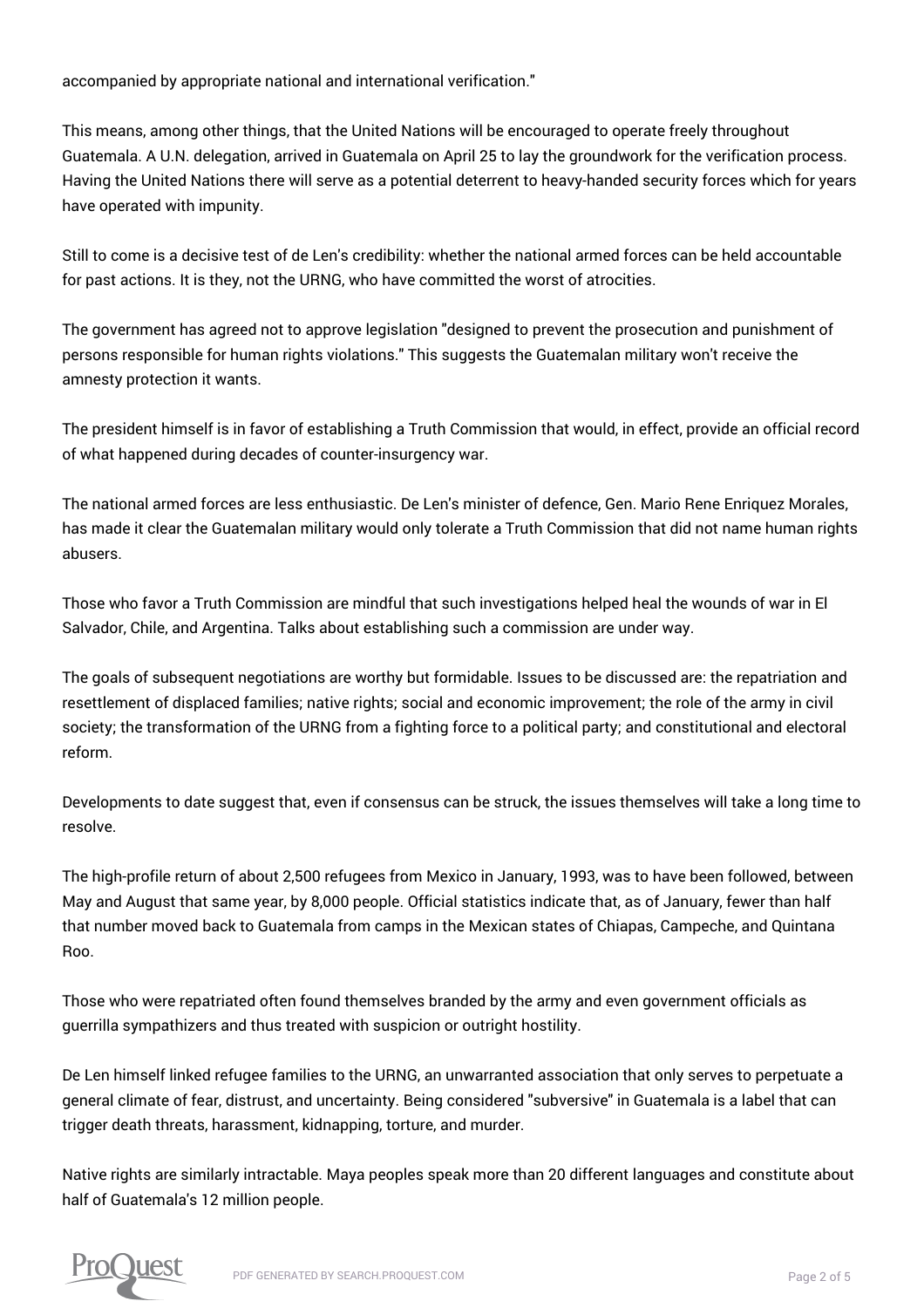accompanied by appropriate national and international verification."

This means, among other things, that the United Nations will be encouraged to operate freely throughout Guatemala. A U.N. delegation, arrived in Guatemala on April 25 to lay the groundwork for the verification process. Having the United Nations there will serve as a potential deterrent to heavy-handed security forces which for years have operated with impunity.

Still to come is a decisive test of de Len's credibility: whether the national armed forces can be held accountable for past actions. It is they, not the URNG, who have committed the worst of atrocities.

The government has agreed not to approve legislation "designed to prevent the prosecution and punishment of persons responsible for human rights violations." This suggests the Guatemalan military won't receive the amnesty protection it wants.

The president himself is in favor of establishing a Truth Commission that would, in effect, provide an official record of what happened during decades of counter-insurgency war.

The national armed forces are less enthusiastic. De Len's minister of defence, Gen. Mario Rene Enriquez Morales, has made it clear the Guatemalan military would only tolerate a Truth Commission that did not name human rights abusers.

Those who favor a Truth Commission are mindful that such investigations helped heal the wounds of war in El Salvador, Chile, and Argentina. Talks about establishing such a commission are under way.

The goals of subsequent negotiations are worthy but formidable. Issues to be discussed are: the repatriation and resettlement of displaced families; native rights; social and economic improvement; the role of the army in civil society; the transformation of the URNG from a fighting force to a political party; and constitutional and electoral reform.

Developments to date suggest that, even if consensus can be struck, the issues themselves will take a long time to resolve.

The high-profile return of about 2,500 refugees from Mexico in January, 1993, was to have been followed, between May and August that same year, by 8,000 people. Official statistics indicate that, as of January, fewer than half that number moved back to Guatemala from camps in the Mexican states of Chiapas, Campeche, and Quintana Roo.

Those who were repatriated often found themselves branded by the army and even government officials as guerrilla sympathizers and thus treated with suspicion or outright hostility.

De Len himself linked refugee families to the URNG, an unwarranted association that only serves to perpetuate a general climate of fear, distrust, and uncertainty. Being considered "subversive" in Guatemala is a label that can trigger death threats, harassment, kidnapping, torture, and murder.

Native rights are similarly intractable. Maya peoples speak more than 20 different languages and constitute about half of Guatemala's 12 million people.

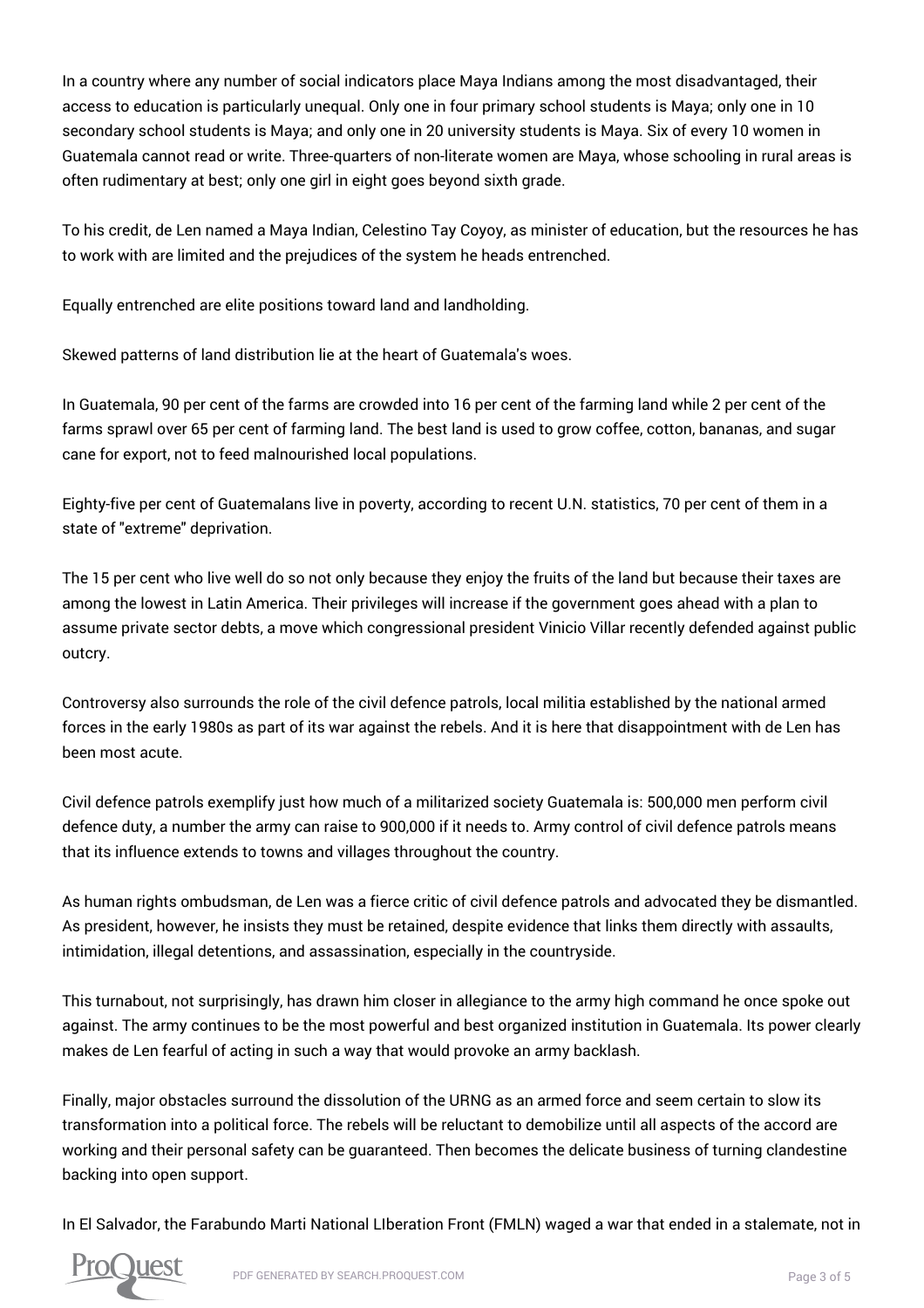In a country where any number of social indicators place Maya Indians among the most disadvantaged, their access to education is particularly unequal. Only one in four primary school students is Maya; only one in 10 secondary school students is Maya; and only one in 20 university students is Maya. Six of every 10 women in Guatemala cannot read or write. Three-quarters of non-literate women are Maya, whose schooling in rural areas is often rudimentary at best; only one girl in eight goes beyond sixth grade.

To his credit, de Len named a Maya Indian, Celestino Tay Coyoy, as minister of education, but the resources he has to work with are limited and the prejudices of the system he heads entrenched.

Equally entrenched are elite positions toward land and landholding.

Skewed patterns of land distribution lie at the heart of Guatemala's woes.

In Guatemala, 90 per cent of the farms are crowded into 16 per cent of the farming land while 2 per cent of the farms sprawl over 65 per cent of farming land. The best land is used to grow coffee, cotton, bananas, and sugar cane for export, not to feed malnourished local populations.

Eighty-five per cent of Guatemalans live in poverty, according to recent U.N. statistics, 70 per cent of them in a state of "extreme" deprivation.

The 15 per cent who live well do so not only because they enjoy the fruits of the land but because their taxes are among the lowest in Latin America. Their privileges will increase if the government goes ahead with a plan to assume private sector debts, a move which congressional president Vinicio Villar recently defended against public outcry.

Controversy also surrounds the role of the civil defence patrols, local militia established by the national armed forces in the early 1980s as part of its war against the rebels. And it is here that disappointment with de Len has been most acute.

Civil defence patrols exemplify just how much of a militarized society Guatemala is: 500,000 men perform civil defence duty, a number the army can raise to 900,000 if it needs to. Army control of civil defence patrols means that its influence extends to towns and villages throughout the country.

As human rights ombudsman, de Len was a fierce critic of civil defence patrols and advocated they be dismantled. As president, however, he insists they must be retained, despite evidence that links them directly with assaults, intimidation, illegal detentions, and assassination, especially in the countryside.

This turnabout, not surprisingly, has drawn him closer in allegiance to the army high command he once spoke out against. The army continues to be the most powerful and best organized institution in Guatemala. Its power clearly makes de Len fearful of acting in such a way that would provoke an army backlash.

Finally, major obstacles surround the dissolution of the URNG as an armed force and seem certain to slow its transformation into a political force. The rebels will be reluctant to demobilize until all aspects of the accord are working and their personal safety can be guaranteed. Then becomes the delicate business of turning clandestine backing into open support.

In El Salvador, the Farabundo Marti National LIberation Front (FMLN) waged a war that ended in a stalemate, not in

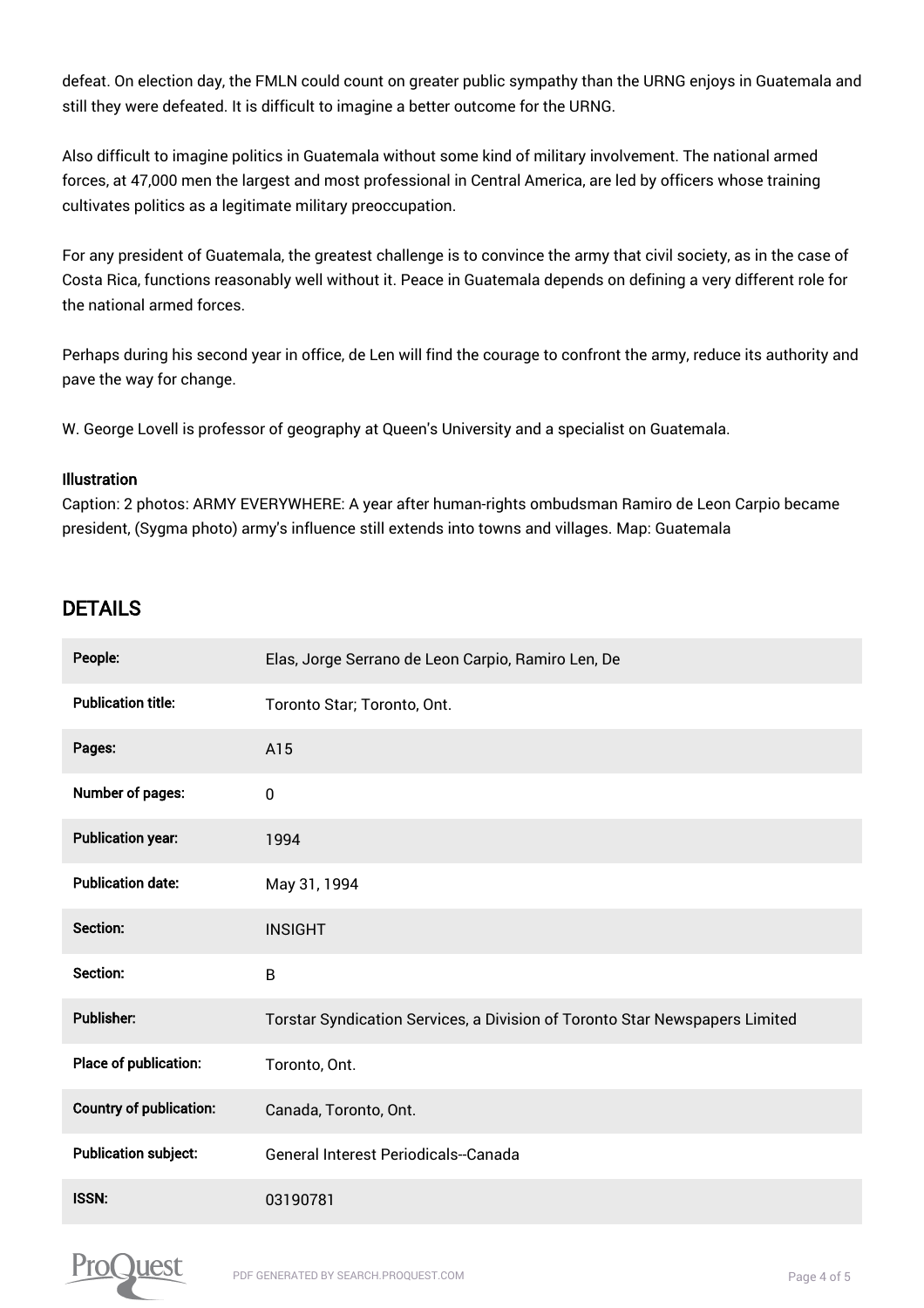defeat. On election day, the FMLN could count on greater public sympathy than the URNG enjoys in Guatemala and still they were defeated. It is difficult to imagine a better outcome for the URNG.

Also difficult to imagine politics in Guatemala without some kind of military involvement. The national armed forces, at 47,000 men the largest and most professional in Central America, are led by officers whose training cultivates politics as a legitimate military preoccupation.

For any president of Guatemala, the greatest challenge is to convince the army that civil society, as in the case of Costa Rica, functions reasonably well without it. Peace in Guatemala depends on defining a very different role for the national armed forces.

Perhaps during his second year in office, de Len will find the courage to confront the army, reduce its authority and pave the way for change.

W. George Lovell is professor of geography at Queen's University and a specialist on Guatemala.

#### Illustration

Caption: 2 photos: ARMY EVERYWHERE: A year after human-rights ombudsman Ramiro de Leon Carpio became president, (Sygma photo) army's influence still extends into towns and villages. Map: Guatemala

### DETAILS

| People:                        | Elas, Jorge Serrano de Leon Carpio, Ramiro Len, De                          |
|--------------------------------|-----------------------------------------------------------------------------|
| <b>Publication title:</b>      | Toronto Star; Toronto, Ont.                                                 |
| Pages:                         | A15                                                                         |
| Number of pages:               | $\pmb{0}$                                                                   |
| <b>Publication year:</b>       | 1994                                                                        |
| <b>Publication date:</b>       | May 31, 1994                                                                |
| Section:                       | <b>INSIGHT</b>                                                              |
| Section:                       | B                                                                           |
| <b>Publisher:</b>              | Torstar Syndication Services, a Division of Toronto Star Newspapers Limited |
| Place of publication:          | Toronto, Ont.                                                               |
| <b>Country of publication:</b> | Canada, Toronto, Ont.                                                       |
| <b>Publication subject:</b>    | General Interest Periodicals--Canada                                        |
| ISSN:                          | 03190781                                                                    |